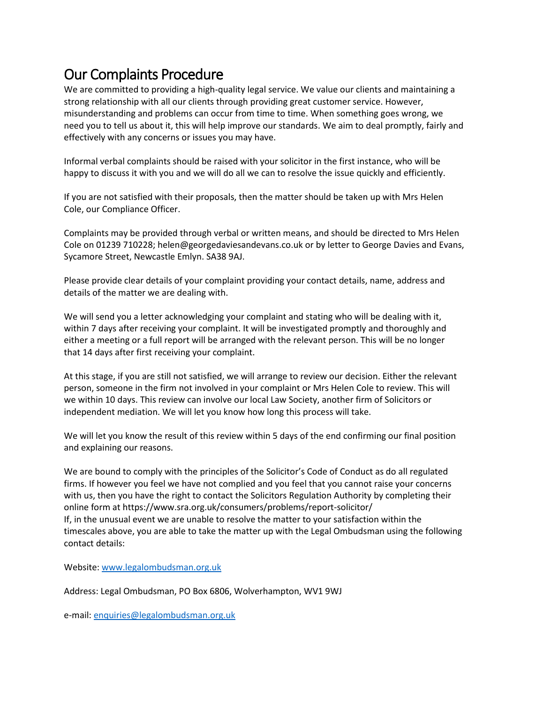## Our Complaints Procedure

We are committed to providing a high-quality legal service. We value our clients and maintaining a strong relationship with all our clients through providing great customer service. However, misunderstanding and problems can occur from time to time. When something goes wrong, we need you to tell us about it, this will help improve our standards. We aim to deal promptly, fairly and effectively with any concerns or issues you may have.

Informal verbal complaints should be raised with your solicitor in the first instance, who will be happy to discuss it with you and we will do all we can to resolve the issue quickly and efficiently.

If you are not satisfied with their proposals, then the matter should be taken up with Mrs Helen Cole, our Compliance Officer.

Complaints may be provided through verbal or written means, and should be directed to Mrs Helen Cole on 01239 710228; helen@georgedaviesandevans.co.uk or by letter to George Davies and Evans, Sycamore Street, Newcastle Emlyn. SA38 9AJ.

Please provide clear details of your complaint providing your contact details, name, address and details of the matter we are dealing with.

We will send you a letter acknowledging your complaint and stating who will be dealing with it, within 7 days after receiving your complaint. It will be investigated promptly and thoroughly and either a meeting or a full report will be arranged with the relevant person. This will be no longer that 14 days after first receiving your complaint.

At this stage, if you are still not satisfied, we will arrange to review our decision. Either the relevant person, someone in the firm not involved in your complaint or Mrs Helen Cole to review. This will we within 10 days. This review can involve our local Law Society, another firm of Solicitors or independent mediation. We will let you know how long this process will take.

We will let you know the result of this review within 5 days of the end confirming our final position and explaining our reasons.

We are bound to comply with the principles of the Solicitor's Code of Conduct as do all regulated firms. If however you feel we have not complied and you feel that you cannot raise your concerns with us, then you have the right to contact the Solicitors Regulation Authority by completing their online form at https://www.sra.org.uk/consumers/problems/report-solicitor/ If, in the unusual event we are unable to resolve the matter to your satisfaction within the timescales above, you are able to take the matter up with the Legal Ombudsman using the following contact details:

Website[: www.legalombudsman.org.uk](http://www.legalombudsman.org.uk/)

Address: Legal Ombudsman, PO Box 6806, Wolverhampton, WV1 9WJ

e-mail: [enquiries@legalombudsman.org.uk](mailto:enquiries@legalombudsman.org.uk)